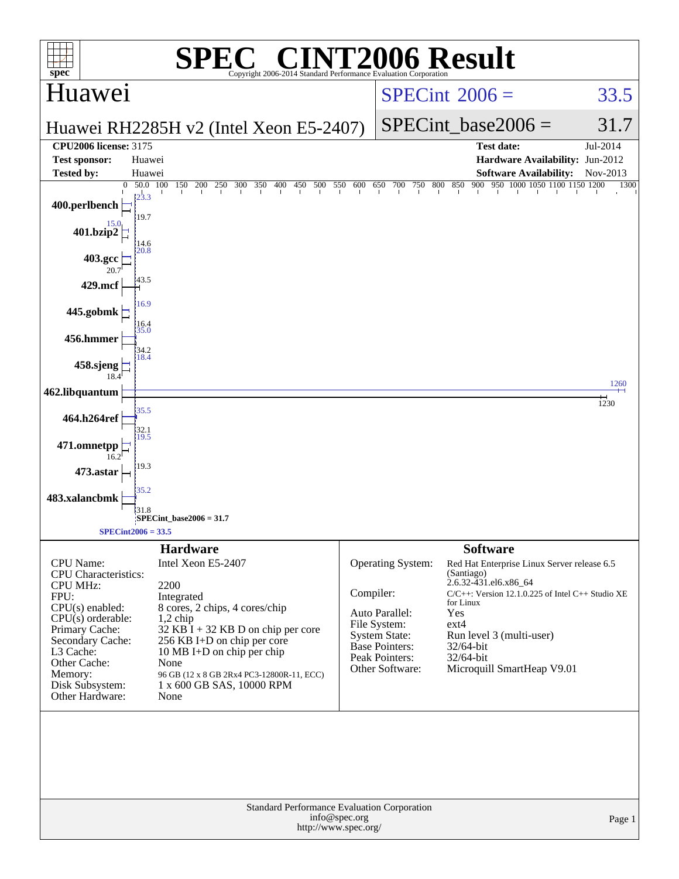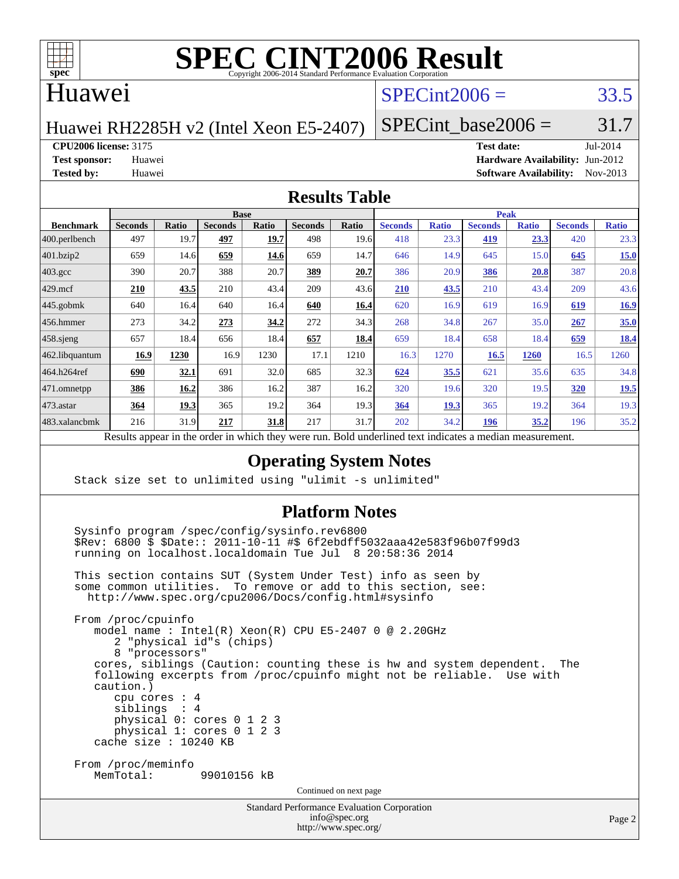

### Huawei

### $SPECint2006 = 33.5$  $SPECint2006 = 33.5$

Huawei RH2285H v2 (Intel Xeon E5-2407)

SPECint base2006 =  $31.7$ 

**[CPU2006 license:](http://www.spec.org/auto/cpu2006/Docs/result-fields.html#CPU2006license)** 3175 **[Test date:](http://www.spec.org/auto/cpu2006/Docs/result-fields.html#Testdate)** Jul-2014

**[Test sponsor:](http://www.spec.org/auto/cpu2006/Docs/result-fields.html#Testsponsor)** Huawei **[Hardware Availability:](http://www.spec.org/auto/cpu2006/Docs/result-fields.html#HardwareAvailability)** Jun-2012 **[Tested by:](http://www.spec.org/auto/cpu2006/Docs/result-fields.html#Testedby)** Huawei **[Software Availability:](http://www.spec.org/auto/cpu2006/Docs/result-fields.html#SoftwareAvailability)** Nov-2013

#### **[Results Table](http://www.spec.org/auto/cpu2006/Docs/result-fields.html#ResultsTable)**

| <b>Base</b>    |             |                |              |                |       | <b>Peak</b>    |              |                |              |                |              |
|----------------|-------------|----------------|--------------|----------------|-------|----------------|--------------|----------------|--------------|----------------|--------------|
| <b>Seconds</b> | Ratio       | <b>Seconds</b> | <b>Ratio</b> | <b>Seconds</b> | Ratio | <b>Seconds</b> | <b>Ratio</b> | <b>Seconds</b> | <b>Ratio</b> | <b>Seconds</b> | <b>Ratio</b> |
| 497            | 19.7        | 497            | 19.7         | 498            | 19.6  | 418            | 23.3         | 419            | 23.3         | 420            | 23.3         |
| 659            | 14.6        | 659            | 14.6         | 659            | 14.7  | 646            | 14.9         | 645            | 15.0         | 645            | 15.0         |
| 390            | 20.7        | 388            | 20.7         | 389            | 20.7  | 386            | 20.9         | 386            | 20.8         | 387            | 20.8         |
| 210            | 43.5        | 210            | 43.4         | 209            | 43.6  | <b>210</b>     | 43.5         | 210            | 43.4         | 209            | 43.6         |
| 640            | 16.4        | 640            | 16.4         | 640            | 16.4  | 620            | 16.9         | 619            | 16.9         | 619            | 16.9         |
| 273            | 34.2        | 273            | 34.2         | 272            | 34.3  | 268            | 34.8         | 267            | 35.0         | 267            | 35.0         |
| 657            | 18.4        | 656            | 18.4         | 657            | 18.4  | 659            | 18.4         | 658            | 18.4         | 659            | 18.4         |
| 16.9           | 1230        | 16.9           | 1230         | 17.1           | 1210  | 16.3           | 1270         | 16.5           | 1260         | 16.5           | 1260         |
| 690            | 32.1        | 691            | 32.0         | 685            | 32.3  | 624            | 35.5         | 621            | 35.6         | 635            | 34.8         |
| 386            | 16.2        | 386            | 16.2         | 387            | 16.2  | 320            | 19.6         | 320            | 19.5         | 320            | 19.5         |
| 364            | <u>19.3</u> | 365            | 19.2         | 364            | 19.3  | 364            | <u>19.3</u>  | 365            | 19.2         | 364            | 19.3         |
| 216            | 31.9        | 217            | 31.8         | 217            | 31.7  | 202            | 34.2         | 196            | 35.2         | 196            | 35.2         |
|                |             |                |              |                |       |                |              |                |              |                |              |

Results appear in the [order in which they were run.](http://www.spec.org/auto/cpu2006/Docs/result-fields.html#RunOrder) Bold underlined text [indicates a median measurement.](http://www.spec.org/auto/cpu2006/Docs/result-fields.html#Median)

#### **[Operating System Notes](http://www.spec.org/auto/cpu2006/Docs/result-fields.html#OperatingSystemNotes)**

Stack size set to unlimited using "ulimit -s unlimited"

#### **[Platform Notes](http://www.spec.org/auto/cpu2006/Docs/result-fields.html#PlatformNotes)**

Standard Performance Evaluation Corporation Sysinfo program /spec/config/sysinfo.rev6800 \$Rev: 6800 \$ \$Date:: 2011-10-11 #\$ 6f2ebdff5032aaa42e583f96b07f99d3 running on localhost.localdomain Tue Jul 8 20:58:36 2014 This section contains SUT (System Under Test) info as seen by some common utilities. To remove or add to this section, see: <http://www.spec.org/cpu2006/Docs/config.html#sysinfo> From /proc/cpuinfo model name : Intel(R) Xeon(R) CPU E5-2407 0 @ 2.20GHz 2 "physical id"s (chips) 8 "processors" cores, siblings (Caution: counting these is hw and system dependent. The following excerpts from /proc/cpuinfo might not be reliable. Use with caution.) cpu cores : 4 siblings : 4 physical 0: cores 0 1 2 3 physical 1: cores 0 1 2 3 cache size : 10240 KB From /proc/meminfo MemTotal: 99010156 kB Continued on next page

> [info@spec.org](mailto:info@spec.org) <http://www.spec.org/>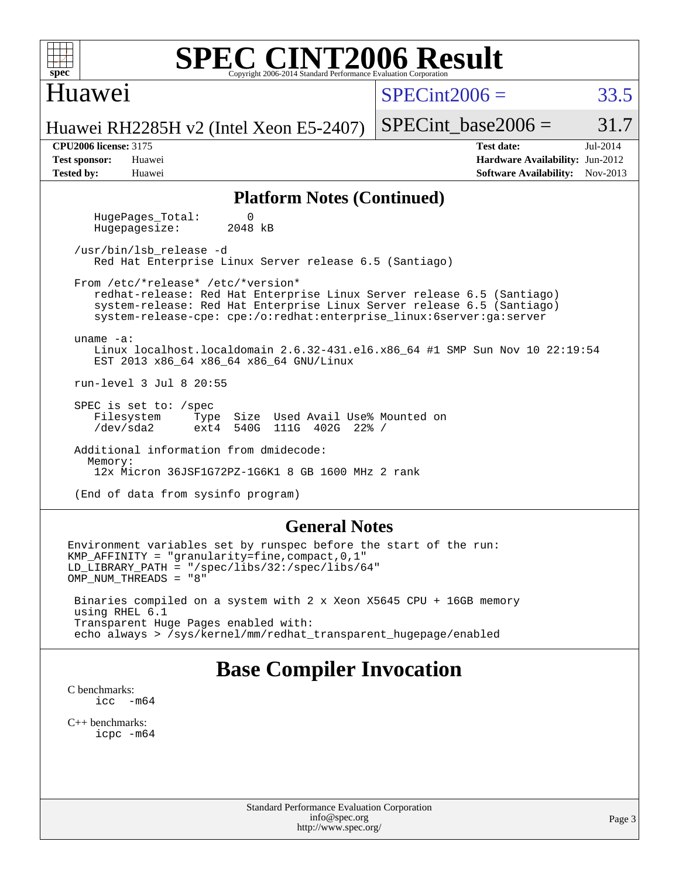| <b>SPEC CINT2006 Result</b><br>$spec^*$<br>Copyright 2006-2014 Standard Performance Evaluation Corporation                                                                                                                                                                     |                                                                                                               |  |  |  |  |  |  |  |
|--------------------------------------------------------------------------------------------------------------------------------------------------------------------------------------------------------------------------------------------------------------------------------|---------------------------------------------------------------------------------------------------------------|--|--|--|--|--|--|--|
| Huawei                                                                                                                                                                                                                                                                         | $SPECint2006 =$<br>33.5                                                                                       |  |  |  |  |  |  |  |
| Huawei RH2285H v2 (Intel Xeon E5-2407)                                                                                                                                                                                                                                         | SPECint base2006 $=$<br>31.7                                                                                  |  |  |  |  |  |  |  |
| <b>CPU2006 license: 3175</b><br><b>Test sponsor:</b><br>Huawei<br><b>Tested by:</b><br>Huawei                                                                                                                                                                                  | Jul-2014<br><b>Test date:</b><br>Hardware Availability: Jun-2012<br><b>Software Availability:</b><br>Nov-2013 |  |  |  |  |  |  |  |
| <b>Platform Notes (Continued)</b>                                                                                                                                                                                                                                              |                                                                                                               |  |  |  |  |  |  |  |
| HugePages_Total:<br>0<br>2048 kB<br>Hugepagesize:                                                                                                                                                                                                                              |                                                                                                               |  |  |  |  |  |  |  |
| /usr/bin/lsb release -d<br>Red Hat Enterprise Linux Server release 6.5 (Santiago)                                                                                                                                                                                              |                                                                                                               |  |  |  |  |  |  |  |
| From /etc/*release* /etc/*version*<br>redhat-release: Red Hat Enterprise Linux Server release 6.5 (Santiago)<br>system-release: Red Hat Enterprise Linux Server release 6.5 (Santiago)<br>system-release-cpe: cpe:/o:redhat:enterprise_linux:6server:ga:server<br>uname $-a$ : |                                                                                                               |  |  |  |  |  |  |  |
| Linux localhost.localdomain 2.6.32-431.el6.x86_64 #1 SMP Sun Nov 10 22:19:54<br>EST 2013 x86_64 x86_64 x86_64 GNU/Linux                                                                                                                                                        |                                                                                                               |  |  |  |  |  |  |  |
| run-level 3 Jul 8 20:55                                                                                                                                                                                                                                                        |                                                                                                               |  |  |  |  |  |  |  |
| SPEC is set to: /spec<br>Size Used Avail Use% Mounted on<br>Filesystem<br>Type<br>$/\text{dev/sda2}$<br>ext4 540G 111G 402G 22% /                                                                                                                                              |                                                                                                               |  |  |  |  |  |  |  |
| Additional information from dmidecode:<br>Memory:<br>12x Micron 36JSF1G72PZ-1G6K1 8 GB 1600 MHz 2 rank                                                                                                                                                                         |                                                                                                               |  |  |  |  |  |  |  |
| (End of data from sysinfo program)                                                                                                                                                                                                                                             |                                                                                                               |  |  |  |  |  |  |  |
| <b>General Notes</b>                                                                                                                                                                                                                                                           |                                                                                                               |  |  |  |  |  |  |  |
| Environment variables set by runspec before the start of the run:<br>KMP_AFFINITY = "granularity=fine, compact, 0, 1"<br>$LD_LIBRARY_PATH = "/gpec/libs/32://spec/libs/64"$<br>OMP_NUM_THREADS = "8"                                                                           |                                                                                                               |  |  |  |  |  |  |  |

 Binaries compiled on a system with 2 x Xeon X5645 CPU + 16GB memory using RHEL 6.1 Transparent Huge Pages enabled with: echo always > /sys/kernel/mm/redhat\_transparent\_hugepage/enabled

# **[Base Compiler Invocation](http://www.spec.org/auto/cpu2006/Docs/result-fields.html#BaseCompilerInvocation)**

[C benchmarks](http://www.spec.org/auto/cpu2006/Docs/result-fields.html#Cbenchmarks): [icc -m64](http://www.spec.org/cpu2006/results/res2014q3/cpu2006-20140728-30658.flags.html#user_CCbase_intel_icc_64bit_f346026e86af2a669e726fe758c88044)

[C++ benchmarks:](http://www.spec.org/auto/cpu2006/Docs/result-fields.html#CXXbenchmarks) [icpc -m64](http://www.spec.org/cpu2006/results/res2014q3/cpu2006-20140728-30658.flags.html#user_CXXbase_intel_icpc_64bit_fc66a5337ce925472a5c54ad6a0de310)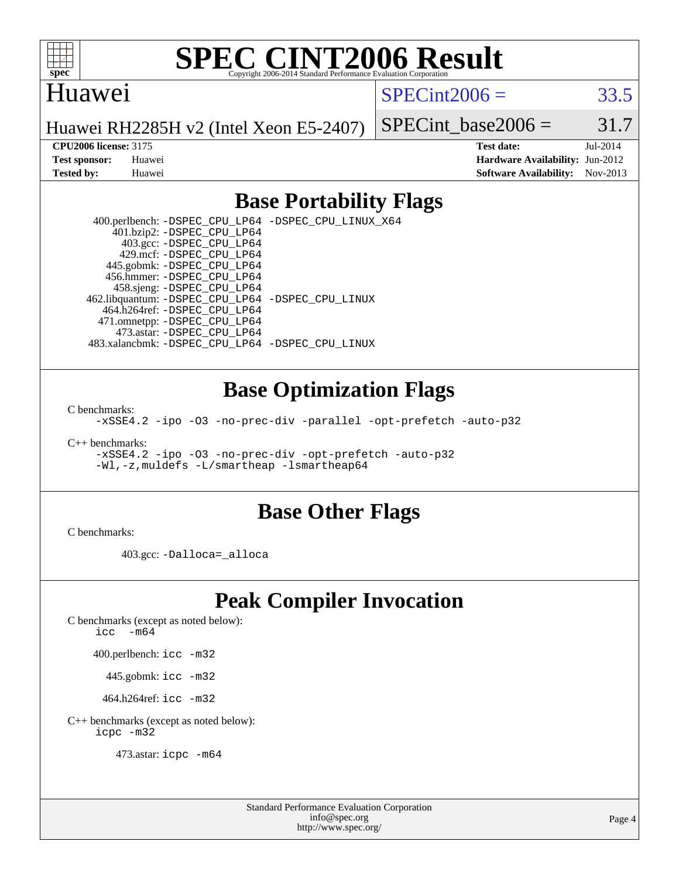

#### Huawei

 $SPECint2006 = 33.5$  $SPECint2006 = 33.5$ 

Huawei RH2285H v2 (Intel Xeon E5-2407)

SPECint base2006 =  $31.7$ 

**[CPU2006 license:](http://www.spec.org/auto/cpu2006/Docs/result-fields.html#CPU2006license)** 3175 **[Test date:](http://www.spec.org/auto/cpu2006/Docs/result-fields.html#Testdate)** Jul-2014 **[Test sponsor:](http://www.spec.org/auto/cpu2006/Docs/result-fields.html#Testsponsor)** Huawei **[Hardware Availability:](http://www.spec.org/auto/cpu2006/Docs/result-fields.html#HardwareAvailability)** Jun-2012 **[Tested by:](http://www.spec.org/auto/cpu2006/Docs/result-fields.html#Testedby)** Huawei **[Software Availability:](http://www.spec.org/auto/cpu2006/Docs/result-fields.html#SoftwareAvailability)** Nov-2013

### **[Base Portability Flags](http://www.spec.org/auto/cpu2006/Docs/result-fields.html#BasePortabilityFlags)**

 400.perlbench: [-DSPEC\\_CPU\\_LP64](http://www.spec.org/cpu2006/results/res2014q3/cpu2006-20140728-30658.flags.html#b400.perlbench_basePORTABILITY_DSPEC_CPU_LP64) [-DSPEC\\_CPU\\_LINUX\\_X64](http://www.spec.org/cpu2006/results/res2014q3/cpu2006-20140728-30658.flags.html#b400.perlbench_baseCPORTABILITY_DSPEC_CPU_LINUX_X64) 401.bzip2: [-DSPEC\\_CPU\\_LP64](http://www.spec.org/cpu2006/results/res2014q3/cpu2006-20140728-30658.flags.html#suite_basePORTABILITY401_bzip2_DSPEC_CPU_LP64) 403.gcc: [-DSPEC\\_CPU\\_LP64](http://www.spec.org/cpu2006/results/res2014q3/cpu2006-20140728-30658.flags.html#suite_basePORTABILITY403_gcc_DSPEC_CPU_LP64) 429.mcf: [-DSPEC\\_CPU\\_LP64](http://www.spec.org/cpu2006/results/res2014q3/cpu2006-20140728-30658.flags.html#suite_basePORTABILITY429_mcf_DSPEC_CPU_LP64) 445.gobmk: [-DSPEC\\_CPU\\_LP64](http://www.spec.org/cpu2006/results/res2014q3/cpu2006-20140728-30658.flags.html#suite_basePORTABILITY445_gobmk_DSPEC_CPU_LP64) 456.hmmer: [-DSPEC\\_CPU\\_LP64](http://www.spec.org/cpu2006/results/res2014q3/cpu2006-20140728-30658.flags.html#suite_basePORTABILITY456_hmmer_DSPEC_CPU_LP64) 458.sjeng: [-DSPEC\\_CPU\\_LP64](http://www.spec.org/cpu2006/results/res2014q3/cpu2006-20140728-30658.flags.html#suite_basePORTABILITY458_sjeng_DSPEC_CPU_LP64) 462.libquantum: [-DSPEC\\_CPU\\_LP64](http://www.spec.org/cpu2006/results/res2014q3/cpu2006-20140728-30658.flags.html#suite_basePORTABILITY462_libquantum_DSPEC_CPU_LP64) [-DSPEC\\_CPU\\_LINUX](http://www.spec.org/cpu2006/results/res2014q3/cpu2006-20140728-30658.flags.html#b462.libquantum_baseCPORTABILITY_DSPEC_CPU_LINUX) 464.h264ref: [-DSPEC\\_CPU\\_LP64](http://www.spec.org/cpu2006/results/res2014q3/cpu2006-20140728-30658.flags.html#suite_basePORTABILITY464_h264ref_DSPEC_CPU_LP64) 471.omnetpp: [-DSPEC\\_CPU\\_LP64](http://www.spec.org/cpu2006/results/res2014q3/cpu2006-20140728-30658.flags.html#suite_basePORTABILITY471_omnetpp_DSPEC_CPU_LP64) 473.astar: [-DSPEC\\_CPU\\_LP64](http://www.spec.org/cpu2006/results/res2014q3/cpu2006-20140728-30658.flags.html#suite_basePORTABILITY473_astar_DSPEC_CPU_LP64) 483.xalancbmk: [-DSPEC\\_CPU\\_LP64](http://www.spec.org/cpu2006/results/res2014q3/cpu2006-20140728-30658.flags.html#suite_basePORTABILITY483_xalancbmk_DSPEC_CPU_LP64) [-DSPEC\\_CPU\\_LINUX](http://www.spec.org/cpu2006/results/res2014q3/cpu2006-20140728-30658.flags.html#b483.xalancbmk_baseCXXPORTABILITY_DSPEC_CPU_LINUX)

#### **[Base Optimization Flags](http://www.spec.org/auto/cpu2006/Docs/result-fields.html#BaseOptimizationFlags)**

[C benchmarks](http://www.spec.org/auto/cpu2006/Docs/result-fields.html#Cbenchmarks):

[-xSSE4.2](http://www.spec.org/cpu2006/results/res2014q3/cpu2006-20140728-30658.flags.html#user_CCbase_f-xSSE42_f91528193cf0b216347adb8b939d4107) [-ipo](http://www.spec.org/cpu2006/results/res2014q3/cpu2006-20140728-30658.flags.html#user_CCbase_f-ipo) [-O3](http://www.spec.org/cpu2006/results/res2014q3/cpu2006-20140728-30658.flags.html#user_CCbase_f-O3) [-no-prec-div](http://www.spec.org/cpu2006/results/res2014q3/cpu2006-20140728-30658.flags.html#user_CCbase_f-no-prec-div) [-parallel](http://www.spec.org/cpu2006/results/res2014q3/cpu2006-20140728-30658.flags.html#user_CCbase_f-parallel) [-opt-prefetch](http://www.spec.org/cpu2006/results/res2014q3/cpu2006-20140728-30658.flags.html#user_CCbase_f-opt-prefetch) [-auto-p32](http://www.spec.org/cpu2006/results/res2014q3/cpu2006-20140728-30658.flags.html#user_CCbase_f-auto-p32)

[C++ benchmarks:](http://www.spec.org/auto/cpu2006/Docs/result-fields.html#CXXbenchmarks)

[-xSSE4.2](http://www.spec.org/cpu2006/results/res2014q3/cpu2006-20140728-30658.flags.html#user_CXXbase_f-xSSE42_f91528193cf0b216347adb8b939d4107) [-ipo](http://www.spec.org/cpu2006/results/res2014q3/cpu2006-20140728-30658.flags.html#user_CXXbase_f-ipo) [-O3](http://www.spec.org/cpu2006/results/res2014q3/cpu2006-20140728-30658.flags.html#user_CXXbase_f-O3) [-no-prec-div](http://www.spec.org/cpu2006/results/res2014q3/cpu2006-20140728-30658.flags.html#user_CXXbase_f-no-prec-div) [-opt-prefetch](http://www.spec.org/cpu2006/results/res2014q3/cpu2006-20140728-30658.flags.html#user_CXXbase_f-opt-prefetch) [-auto-p32](http://www.spec.org/cpu2006/results/res2014q3/cpu2006-20140728-30658.flags.html#user_CXXbase_f-auto-p32) [-Wl,-z,muldefs](http://www.spec.org/cpu2006/results/res2014q3/cpu2006-20140728-30658.flags.html#user_CXXbase_link_force_multiple1_74079c344b956b9658436fd1b6dd3a8a) [-L/smartheap -lsmartheap64](http://www.spec.org/cpu2006/results/res2014q3/cpu2006-20140728-30658.flags.html#user_CXXbase_SmartHeap64_5e654037dadeae1fe403ab4b4466e60b)

#### **[Base Other Flags](http://www.spec.org/auto/cpu2006/Docs/result-fields.html#BaseOtherFlags)**

[C benchmarks](http://www.spec.org/auto/cpu2006/Docs/result-fields.html#Cbenchmarks):

403.gcc: [-Dalloca=\\_alloca](http://www.spec.org/cpu2006/results/res2014q3/cpu2006-20140728-30658.flags.html#b403.gcc_baseEXTRA_CFLAGS_Dalloca_be3056838c12de2578596ca5467af7f3)

## **[Peak Compiler Invocation](http://www.spec.org/auto/cpu2006/Docs/result-fields.html#PeakCompilerInvocation)**

[C benchmarks \(except as noted below\)](http://www.spec.org/auto/cpu2006/Docs/result-fields.html#Cbenchmarksexceptasnotedbelow):

[icc -m64](http://www.spec.org/cpu2006/results/res2014q3/cpu2006-20140728-30658.flags.html#user_CCpeak_intel_icc_64bit_f346026e86af2a669e726fe758c88044)

400.perlbench: [icc -m32](http://www.spec.org/cpu2006/results/res2014q3/cpu2006-20140728-30658.flags.html#user_peakCCLD400_perlbench_intel_icc_a6a621f8d50482236b970c6ac5f55f93)

445.gobmk: [icc -m32](http://www.spec.org/cpu2006/results/res2014q3/cpu2006-20140728-30658.flags.html#user_peakCCLD445_gobmk_intel_icc_a6a621f8d50482236b970c6ac5f55f93)

464.h264ref: [icc -m32](http://www.spec.org/cpu2006/results/res2014q3/cpu2006-20140728-30658.flags.html#user_peakCCLD464_h264ref_intel_icc_a6a621f8d50482236b970c6ac5f55f93)

[C++ benchmarks \(except as noted below\):](http://www.spec.org/auto/cpu2006/Docs/result-fields.html#CXXbenchmarksexceptasnotedbelow) [icpc -m32](http://www.spec.org/cpu2006/results/res2014q3/cpu2006-20140728-30658.flags.html#user_CXXpeak_intel_icpc_4e5a5ef1a53fd332b3c49e69c3330699)

473.astar: [icpc -m64](http://www.spec.org/cpu2006/results/res2014q3/cpu2006-20140728-30658.flags.html#user_peakCXXLD473_astar_intel_icpc_64bit_fc66a5337ce925472a5c54ad6a0de310)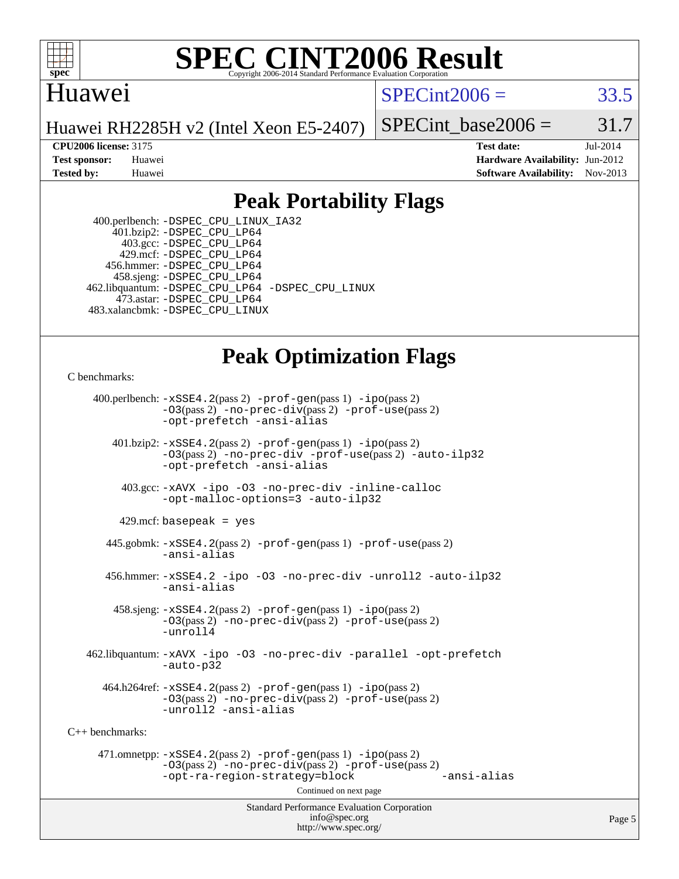

### Huawei

 $SPECint2006 = 33.5$  $SPECint2006 = 33.5$ 

Huawei RH2285H v2 (Intel Xeon E5-2407)

SPECint base2006 =  $31.7$ 

**[CPU2006 license:](http://www.spec.org/auto/cpu2006/Docs/result-fields.html#CPU2006license)** 3175 **[Test date:](http://www.spec.org/auto/cpu2006/Docs/result-fields.html#Testdate)** Jul-2014 **[Test sponsor:](http://www.spec.org/auto/cpu2006/Docs/result-fields.html#Testsponsor)** Huawei **[Hardware Availability:](http://www.spec.org/auto/cpu2006/Docs/result-fields.html#HardwareAvailability)** Jun-2012 **[Tested by:](http://www.spec.org/auto/cpu2006/Docs/result-fields.html#Testedby)** Huawei **[Software Availability:](http://www.spec.org/auto/cpu2006/Docs/result-fields.html#SoftwareAvailability)** Nov-2013

### **[Peak Portability Flags](http://www.spec.org/auto/cpu2006/Docs/result-fields.html#PeakPortabilityFlags)**

 400.perlbench: [-DSPEC\\_CPU\\_LINUX\\_IA32](http://www.spec.org/cpu2006/results/res2014q3/cpu2006-20140728-30658.flags.html#b400.perlbench_peakCPORTABILITY_DSPEC_CPU_LINUX_IA32) 401.bzip2: [-DSPEC\\_CPU\\_LP64](http://www.spec.org/cpu2006/results/res2014q3/cpu2006-20140728-30658.flags.html#suite_peakPORTABILITY401_bzip2_DSPEC_CPU_LP64) 403.gcc: [-DSPEC\\_CPU\\_LP64](http://www.spec.org/cpu2006/results/res2014q3/cpu2006-20140728-30658.flags.html#suite_peakPORTABILITY403_gcc_DSPEC_CPU_LP64) 429.mcf: [-DSPEC\\_CPU\\_LP64](http://www.spec.org/cpu2006/results/res2014q3/cpu2006-20140728-30658.flags.html#suite_peakPORTABILITY429_mcf_DSPEC_CPU_LP64) 456.hmmer: [-DSPEC\\_CPU\\_LP64](http://www.spec.org/cpu2006/results/res2014q3/cpu2006-20140728-30658.flags.html#suite_peakPORTABILITY456_hmmer_DSPEC_CPU_LP64) 458.sjeng: [-DSPEC\\_CPU\\_LP64](http://www.spec.org/cpu2006/results/res2014q3/cpu2006-20140728-30658.flags.html#suite_peakPORTABILITY458_sjeng_DSPEC_CPU_LP64) 462.libquantum: [-DSPEC\\_CPU\\_LP64](http://www.spec.org/cpu2006/results/res2014q3/cpu2006-20140728-30658.flags.html#suite_peakPORTABILITY462_libquantum_DSPEC_CPU_LP64) [-DSPEC\\_CPU\\_LINUX](http://www.spec.org/cpu2006/results/res2014q3/cpu2006-20140728-30658.flags.html#b462.libquantum_peakCPORTABILITY_DSPEC_CPU_LINUX) 473.astar: [-DSPEC\\_CPU\\_LP64](http://www.spec.org/cpu2006/results/res2014q3/cpu2006-20140728-30658.flags.html#suite_peakPORTABILITY473_astar_DSPEC_CPU_LP64) 483.xalancbmk: [-DSPEC\\_CPU\\_LINUX](http://www.spec.org/cpu2006/results/res2014q3/cpu2006-20140728-30658.flags.html#b483.xalancbmk_peakCXXPORTABILITY_DSPEC_CPU_LINUX)

### **[Peak Optimization Flags](http://www.spec.org/auto/cpu2006/Docs/result-fields.html#PeakOptimizationFlags)**

[C benchmarks](http://www.spec.org/auto/cpu2006/Docs/result-fields.html#Cbenchmarks):

Standard Performance Evaluation Corporation [info@spec.org](mailto:info@spec.org) 400.perlbench: [-xSSE4.2](http://www.spec.org/cpu2006/results/res2014q3/cpu2006-20140728-30658.flags.html#user_peakPASS2_CFLAGSPASS2_LDCFLAGS400_perlbench_f-xSSE42_f91528193cf0b216347adb8b939d4107)(pass 2) [-prof-gen](http://www.spec.org/cpu2006/results/res2014q3/cpu2006-20140728-30658.flags.html#user_peakPASS1_CFLAGSPASS1_LDCFLAGS400_perlbench_prof_gen_e43856698f6ca7b7e442dfd80e94a8fc)(pass 1) [-ipo](http://www.spec.org/cpu2006/results/res2014q3/cpu2006-20140728-30658.flags.html#user_peakPASS2_CFLAGSPASS2_LDCFLAGS400_perlbench_f-ipo)(pass 2) [-O3](http://www.spec.org/cpu2006/results/res2014q3/cpu2006-20140728-30658.flags.html#user_peakPASS2_CFLAGSPASS2_LDCFLAGS400_perlbench_f-O3)(pass 2) [-no-prec-div](http://www.spec.org/cpu2006/results/res2014q3/cpu2006-20140728-30658.flags.html#user_peakPASS2_CFLAGSPASS2_LDCFLAGS400_perlbench_f-no-prec-div)(pass 2) [-prof-use](http://www.spec.org/cpu2006/results/res2014q3/cpu2006-20140728-30658.flags.html#user_peakPASS2_CFLAGSPASS2_LDCFLAGS400_perlbench_prof_use_bccf7792157ff70d64e32fe3e1250b55)(pass 2) [-opt-prefetch](http://www.spec.org/cpu2006/results/res2014q3/cpu2006-20140728-30658.flags.html#user_peakCOPTIMIZE400_perlbench_f-opt-prefetch) [-ansi-alias](http://www.spec.org/cpu2006/results/res2014q3/cpu2006-20140728-30658.flags.html#user_peakCOPTIMIZE400_perlbench_f-ansi-alias) 401.bzip2: [-xSSE4.2](http://www.spec.org/cpu2006/results/res2014q3/cpu2006-20140728-30658.flags.html#user_peakPASS2_CFLAGSPASS2_LDCFLAGS401_bzip2_f-xSSE42_f91528193cf0b216347adb8b939d4107)(pass 2) [-prof-gen](http://www.spec.org/cpu2006/results/res2014q3/cpu2006-20140728-30658.flags.html#user_peakPASS1_CFLAGSPASS1_LDCFLAGS401_bzip2_prof_gen_e43856698f6ca7b7e442dfd80e94a8fc)(pass 1) [-ipo](http://www.spec.org/cpu2006/results/res2014q3/cpu2006-20140728-30658.flags.html#user_peakPASS2_CFLAGSPASS2_LDCFLAGS401_bzip2_f-ipo)(pass 2) [-O3](http://www.spec.org/cpu2006/results/res2014q3/cpu2006-20140728-30658.flags.html#user_peakPASS2_CFLAGSPASS2_LDCFLAGS401_bzip2_f-O3)(pass 2) [-no-prec-div](http://www.spec.org/cpu2006/results/res2014q3/cpu2006-20140728-30658.flags.html#user_peakCOPTIMIZEPASS2_CFLAGSPASS2_LDCFLAGS401_bzip2_f-no-prec-div) [-prof-use](http://www.spec.org/cpu2006/results/res2014q3/cpu2006-20140728-30658.flags.html#user_peakPASS2_CFLAGSPASS2_LDCFLAGS401_bzip2_prof_use_bccf7792157ff70d64e32fe3e1250b55)(pass 2) [-auto-ilp32](http://www.spec.org/cpu2006/results/res2014q3/cpu2006-20140728-30658.flags.html#user_peakCOPTIMIZE401_bzip2_f-auto-ilp32) [-opt-prefetch](http://www.spec.org/cpu2006/results/res2014q3/cpu2006-20140728-30658.flags.html#user_peakCOPTIMIZE401_bzip2_f-opt-prefetch) [-ansi-alias](http://www.spec.org/cpu2006/results/res2014q3/cpu2006-20140728-30658.flags.html#user_peakCOPTIMIZE401_bzip2_f-ansi-alias) 403.gcc: [-xAVX](http://www.spec.org/cpu2006/results/res2014q3/cpu2006-20140728-30658.flags.html#user_peakCOPTIMIZE403_gcc_f-xAVX) [-ipo](http://www.spec.org/cpu2006/results/res2014q3/cpu2006-20140728-30658.flags.html#user_peakCOPTIMIZE403_gcc_f-ipo) [-O3](http://www.spec.org/cpu2006/results/res2014q3/cpu2006-20140728-30658.flags.html#user_peakCOPTIMIZE403_gcc_f-O3) [-no-prec-div](http://www.spec.org/cpu2006/results/res2014q3/cpu2006-20140728-30658.flags.html#user_peakCOPTIMIZE403_gcc_f-no-prec-div) [-inline-calloc](http://www.spec.org/cpu2006/results/res2014q3/cpu2006-20140728-30658.flags.html#user_peakCOPTIMIZE403_gcc_f-inline-calloc) [-opt-malloc-options=3](http://www.spec.org/cpu2006/results/res2014q3/cpu2006-20140728-30658.flags.html#user_peakCOPTIMIZE403_gcc_f-opt-malloc-options_13ab9b803cf986b4ee62f0a5998c2238) [-auto-ilp32](http://www.spec.org/cpu2006/results/res2014q3/cpu2006-20140728-30658.flags.html#user_peakCOPTIMIZE403_gcc_f-auto-ilp32)  $429$ .mcf: basepeak = yes 445.gobmk: [-xSSE4.2](http://www.spec.org/cpu2006/results/res2014q3/cpu2006-20140728-30658.flags.html#user_peakPASS2_CFLAGSPASS2_LDCFLAGS445_gobmk_f-xSSE42_f91528193cf0b216347adb8b939d4107)(pass 2) [-prof-gen](http://www.spec.org/cpu2006/results/res2014q3/cpu2006-20140728-30658.flags.html#user_peakPASS1_CFLAGSPASS1_LDCFLAGS445_gobmk_prof_gen_e43856698f6ca7b7e442dfd80e94a8fc)(pass 1) [-prof-use](http://www.spec.org/cpu2006/results/res2014q3/cpu2006-20140728-30658.flags.html#user_peakPASS2_CFLAGSPASS2_LDCFLAGS445_gobmk_prof_use_bccf7792157ff70d64e32fe3e1250b55)(pass 2) [-ansi-alias](http://www.spec.org/cpu2006/results/res2014q3/cpu2006-20140728-30658.flags.html#user_peakCOPTIMIZE445_gobmk_f-ansi-alias) 456.hmmer: [-xSSE4.2](http://www.spec.org/cpu2006/results/res2014q3/cpu2006-20140728-30658.flags.html#user_peakCOPTIMIZE456_hmmer_f-xSSE42_f91528193cf0b216347adb8b939d4107) [-ipo](http://www.spec.org/cpu2006/results/res2014q3/cpu2006-20140728-30658.flags.html#user_peakCOPTIMIZE456_hmmer_f-ipo) [-O3](http://www.spec.org/cpu2006/results/res2014q3/cpu2006-20140728-30658.flags.html#user_peakCOPTIMIZE456_hmmer_f-O3) [-no-prec-div](http://www.spec.org/cpu2006/results/res2014q3/cpu2006-20140728-30658.flags.html#user_peakCOPTIMIZE456_hmmer_f-no-prec-div) [-unroll2](http://www.spec.org/cpu2006/results/res2014q3/cpu2006-20140728-30658.flags.html#user_peakCOPTIMIZE456_hmmer_f-unroll_784dae83bebfb236979b41d2422d7ec2) [-auto-ilp32](http://www.spec.org/cpu2006/results/res2014q3/cpu2006-20140728-30658.flags.html#user_peakCOPTIMIZE456_hmmer_f-auto-ilp32) [-ansi-alias](http://www.spec.org/cpu2006/results/res2014q3/cpu2006-20140728-30658.flags.html#user_peakCOPTIMIZE456_hmmer_f-ansi-alias) 458.sjeng: [-xSSE4.2](http://www.spec.org/cpu2006/results/res2014q3/cpu2006-20140728-30658.flags.html#user_peakPASS2_CFLAGSPASS2_LDCFLAGS458_sjeng_f-xSSE42_f91528193cf0b216347adb8b939d4107)(pass 2) [-prof-gen](http://www.spec.org/cpu2006/results/res2014q3/cpu2006-20140728-30658.flags.html#user_peakPASS1_CFLAGSPASS1_LDCFLAGS458_sjeng_prof_gen_e43856698f6ca7b7e442dfd80e94a8fc)(pass 1) [-ipo](http://www.spec.org/cpu2006/results/res2014q3/cpu2006-20140728-30658.flags.html#user_peakPASS2_CFLAGSPASS2_LDCFLAGS458_sjeng_f-ipo)(pass 2) [-O3](http://www.spec.org/cpu2006/results/res2014q3/cpu2006-20140728-30658.flags.html#user_peakPASS2_CFLAGSPASS2_LDCFLAGS458_sjeng_f-O3)(pass 2) [-no-prec-div](http://www.spec.org/cpu2006/results/res2014q3/cpu2006-20140728-30658.flags.html#user_peakPASS2_CFLAGSPASS2_LDCFLAGS458_sjeng_f-no-prec-div)(pass 2) [-prof-use](http://www.spec.org/cpu2006/results/res2014q3/cpu2006-20140728-30658.flags.html#user_peakPASS2_CFLAGSPASS2_LDCFLAGS458_sjeng_prof_use_bccf7792157ff70d64e32fe3e1250b55)(pass 2) [-unroll4](http://www.spec.org/cpu2006/results/res2014q3/cpu2006-20140728-30658.flags.html#user_peakCOPTIMIZE458_sjeng_f-unroll_4e5e4ed65b7fd20bdcd365bec371b81f) 462.libquantum: [-xAVX](http://www.spec.org/cpu2006/results/res2014q3/cpu2006-20140728-30658.flags.html#user_peakCOPTIMIZE462_libquantum_f-xAVX) [-ipo](http://www.spec.org/cpu2006/results/res2014q3/cpu2006-20140728-30658.flags.html#user_peakCOPTIMIZE462_libquantum_f-ipo) [-O3](http://www.spec.org/cpu2006/results/res2014q3/cpu2006-20140728-30658.flags.html#user_peakCOPTIMIZE462_libquantum_f-O3) [-no-prec-div](http://www.spec.org/cpu2006/results/res2014q3/cpu2006-20140728-30658.flags.html#user_peakCOPTIMIZE462_libquantum_f-no-prec-div) [-parallel](http://www.spec.org/cpu2006/results/res2014q3/cpu2006-20140728-30658.flags.html#user_peakCOPTIMIZE462_libquantum_f-parallel) [-opt-prefetch](http://www.spec.org/cpu2006/results/res2014q3/cpu2006-20140728-30658.flags.html#user_peakCOPTIMIZE462_libquantum_f-opt-prefetch) [-auto-p32](http://www.spec.org/cpu2006/results/res2014q3/cpu2006-20140728-30658.flags.html#user_peakCOPTIMIZE462_libquantum_f-auto-p32)  $464.h264$ ref:  $-xSSE4$ .  $2(pass 2)$  [-prof-gen](http://www.spec.org/cpu2006/results/res2014q3/cpu2006-20140728-30658.flags.html#user_peakPASS1_CFLAGSPASS1_LDCFLAGS464_h264ref_prof_gen_e43856698f6ca7b7e442dfd80e94a8fc)(pass 1) [-ipo](http://www.spec.org/cpu2006/results/res2014q3/cpu2006-20140728-30658.flags.html#user_peakPASS2_CFLAGSPASS2_LDCFLAGS464_h264ref_f-ipo)(pass 2) [-O3](http://www.spec.org/cpu2006/results/res2014q3/cpu2006-20140728-30658.flags.html#user_peakPASS2_CFLAGSPASS2_LDCFLAGS464_h264ref_f-O3)(pass 2) [-no-prec-div](http://www.spec.org/cpu2006/results/res2014q3/cpu2006-20140728-30658.flags.html#user_peakPASS2_CFLAGSPASS2_LDCFLAGS464_h264ref_f-no-prec-div)(pass 2) [-prof-use](http://www.spec.org/cpu2006/results/res2014q3/cpu2006-20140728-30658.flags.html#user_peakPASS2_CFLAGSPASS2_LDCFLAGS464_h264ref_prof_use_bccf7792157ff70d64e32fe3e1250b55)(pass 2) [-unroll2](http://www.spec.org/cpu2006/results/res2014q3/cpu2006-20140728-30658.flags.html#user_peakCOPTIMIZE464_h264ref_f-unroll_784dae83bebfb236979b41d2422d7ec2) [-ansi-alias](http://www.spec.org/cpu2006/results/res2014q3/cpu2006-20140728-30658.flags.html#user_peakCOPTIMIZE464_h264ref_f-ansi-alias) [C++ benchmarks:](http://www.spec.org/auto/cpu2006/Docs/result-fields.html#CXXbenchmarks) 471.omnetpp: [-xSSE4.2](http://www.spec.org/cpu2006/results/res2014q3/cpu2006-20140728-30658.flags.html#user_peakPASS2_CXXFLAGSPASS2_LDCXXFLAGS471_omnetpp_f-xSSE42_f91528193cf0b216347adb8b939d4107)(pass 2) [-prof-gen](http://www.spec.org/cpu2006/results/res2014q3/cpu2006-20140728-30658.flags.html#user_peakPASS1_CXXFLAGSPASS1_LDCXXFLAGS471_omnetpp_prof_gen_e43856698f6ca7b7e442dfd80e94a8fc)(pass 1) [-ipo](http://www.spec.org/cpu2006/results/res2014q3/cpu2006-20140728-30658.flags.html#user_peakPASS2_CXXFLAGSPASS2_LDCXXFLAGS471_omnetpp_f-ipo)(pass 2) [-O3](http://www.spec.org/cpu2006/results/res2014q3/cpu2006-20140728-30658.flags.html#user_peakPASS2_CXXFLAGSPASS2_LDCXXFLAGS471_omnetpp_f-O3)(pass 2) [-no-prec-div](http://www.spec.org/cpu2006/results/res2014q3/cpu2006-20140728-30658.flags.html#user_peakPASS2_CXXFLAGSPASS2_LDCXXFLAGS471_omnetpp_f-no-prec-div)(pass 2) [-prof-use](http://www.spec.org/cpu2006/results/res2014q3/cpu2006-20140728-30658.flags.html#user_peakPASS2_CXXFLAGSPASS2_LDCXXFLAGS471_omnetpp_prof_use_bccf7792157ff70d64e32fe3e1250b55)(pass 2) [-opt-ra-region-strategy=block](http://www.spec.org/cpu2006/results/res2014q3/cpu2006-20140728-30658.flags.html#user_peakCXXOPTIMIZE471_omnetpp_f-opt-ra-region-strategy_5382940c29ea30302d682fc74bfe0147) [-ansi-alias](http://www.spec.org/cpu2006/results/res2014q3/cpu2006-20140728-30658.flags.html#user_peakCXXOPTIMIZE471_omnetpp_f-ansi-alias) Continued on next page

<http://www.spec.org/>